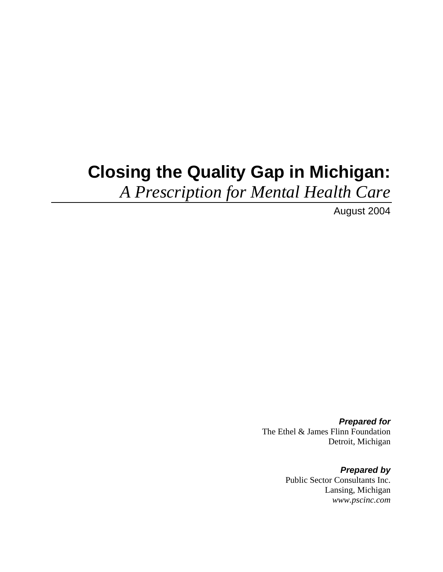# **Closing the Quality Gap in Michigan:**

*A Prescription for Mental Health Care*

August 2004

*Prepared for*  The Ethel & James Flinn Foundation Detroit, Michigan

> *Prepared by*  Public Sector Consultants Inc. Lansing, Michigan *www.pscinc.com*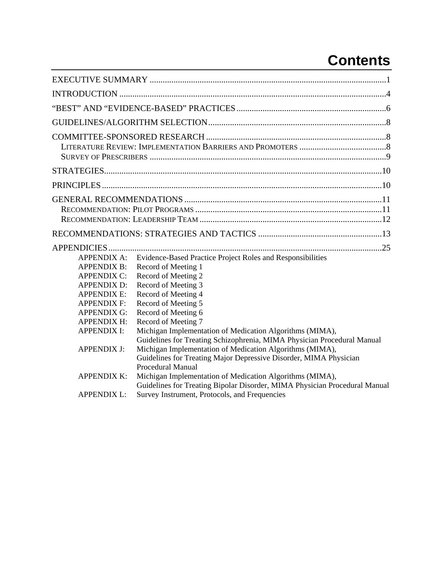## **Contents**

| <b>APPENDIX A:</b><br><b>APPENDIX B:</b><br><b>APPENDIX C:</b><br><b>APPENDIX D:</b><br><b>APPENDIX E:</b><br><b>APPENDIX F:</b><br><b>APPENDIX G:</b><br><b>APPENDIX H:</b> | Evidence-Based Practice Project Roles and Responsibilities<br>Record of Meeting 1<br>Record of Meeting 2<br>Record of Meeting 3<br>Record of Meeting 4<br>Record of Meeting 5<br>Record of Meeting 6<br>Record of Meeting 7   |  |
|------------------------------------------------------------------------------------------------------------------------------------------------------------------------------|-------------------------------------------------------------------------------------------------------------------------------------------------------------------------------------------------------------------------------|--|
| <b>APPENDIX I:</b>                                                                                                                                                           | Michigan Implementation of Medication Algorithms (MIMA),                                                                                                                                                                      |  |
| <b>APPENDIX J:</b>                                                                                                                                                           | Guidelines for Treating Schizophrenia, MIMA Physician Procedural Manual<br>Michigan Implementation of Medication Algorithms (MIMA),<br>Guidelines for Treating Major Depressive Disorder, MIMA Physician<br>Procedural Manual |  |
| <b>APPENDIX K:</b>                                                                                                                                                           | Michigan Implementation of Medication Algorithms (MIMA),                                                                                                                                                                      |  |
| <b>APPENDIX L:</b>                                                                                                                                                           | Guidelines for Treating Bipolar Disorder, MIMA Physician Procedural Manual<br>Survey Instrument, Protocols, and Frequencies                                                                                                   |  |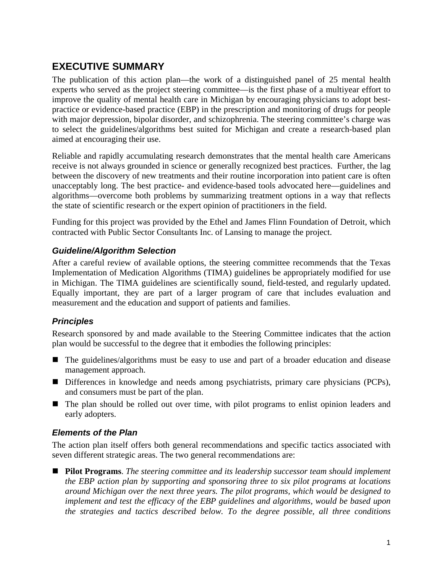## <span id="page-4-0"></span>**EXECUTIVE SUMMARY**

The publication of this action plan—the work of a distinguished panel of 25 mental health experts who served as the project steering committee—is the first phase of a multiyear effort to improve the quality of mental health care in Michigan by encouraging physicians to adopt bestpractice or evidence-based practice (EBP) in the prescription and monitoring of drugs for people with major depression, bipolar disorder, and schizophrenia. The steering committee's charge was to select the guidelines/algorithms best suited for Michigan and create a research-based plan aimed at encouraging their use.

Reliable and rapidly accumulating research demonstrates that the mental health care Americans receive is not always grounded in science or generally recognized best practices. Further, the lag between the discovery of new treatments and their routine incorporation into patient care is often unacceptably long. The best practice- and evidence-based tools advocated here—guidelines and algorithms—overcome both problems by summarizing treatment options in a way that reflects the state of scientific research or the expert opinion of practitioners in the field.

Funding for this project was provided by the Ethel and James Flinn Foundation of Detroit, which contracted with Public Sector Consultants Inc. of Lansing to manage the project.

#### *Guideline/Algorithm Selection*

After a careful review of available options, the steering committee recommends that the Texas Implementation of Medication Algorithms (TIMA) guidelines be appropriately modified for use in Michigan. The TIMA guidelines are scientifically sound, field-tested, and regularly updated. Equally important, they are part of a larger program of care that includes evaluation and measurement and the education and support of patients and families.

#### *Principles*

Research sponsored by and made available to the Steering Committee indicates that the action plan would be successful to the degree that it embodies the following principles:

- The guidelines/algorithms must be easy to use and part of a broader education and disease management approach.
- Differences in knowledge and needs among psychiatrists, primary care physicians (PCPs), and consumers must be part of the plan.
- The plan should be rolled out over time, with pilot programs to enlist opinion leaders and early adopters.

#### *Elements of the Plan*

The action plan itself offers both general recommendations and specific tactics associated with seven different strategic areas. The two general recommendations are:

 **Pilot Programs**. *The steering committee and its leadership successor team should implement the EBP action plan by supporting and sponsoring three to six pilot programs at locations around Michigan over the next three years. The pilot programs, which would be designed to implement and test the efficacy of the EBP guidelines and algorithms, would be based upon the strategies and tactics described below. To the degree possible, all three conditions*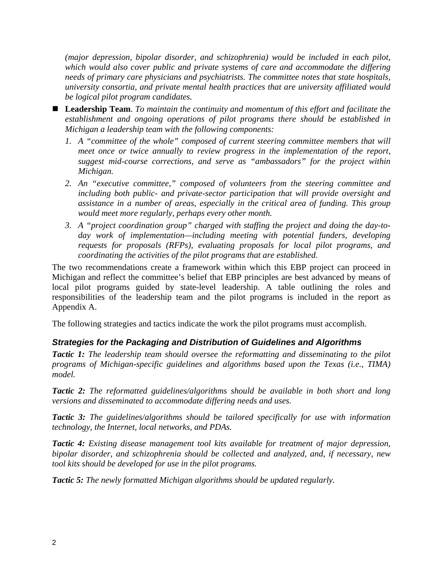*(major depression, bipolar disorder, and schizophrenia) would be included in each pilot, which would also cover public and private systems of care and accommodate the differing needs of primary care physicians and psychiatrists. The committee notes that state hospitals, university consortia, and private mental health practices that are university affiliated would be logical pilot program candidates.* 

- **Leadership Team**. *To maintain the continuity and momentum of this effort and facilitate the establishment and ongoing operations of pilot programs there should be established in Michigan a leadership team with the following components:* 
	- *1. A "committee of the whole" composed of current steering committee members that will meet once or twice annually to review progress in the implementation of the report, suggest mid-course corrections, and serve as "ambassadors" for the project within Michigan.*
	- *2. An "executive committee," composed of volunteers from the steering committee and including both public- and private-sector participation that will provide oversight and assistance in a number of areas, especially in the critical area of funding. This group would meet more regularly, perhaps every other month.*
	- *3. A "project coordination group" charged with staffing the project and doing the day-today work of implementation—including meeting with potential funders, developing requests for proposals (RFPs), evaluating proposals for local pilot programs, and coordinating the activities of the pilot programs that are established.*

The two recommendations create a framework within which this EBP project can proceed in Michigan and reflect the committee's belief that EBP principles are best advanced by means of local pilot programs guided by state-level leadership. A table outlining the roles and responsibilities of the leadership team and the pilot programs is included in the report as Appendix A.

The following strategies and tactics indicate the work the pilot programs must accomplish.

#### *Strategies for the Packaging and Distribution of Guidelines and Algorithms*

*Tactic 1: The leadership team should oversee the reformatting and disseminating to the pilot programs of Michigan-specific guidelines and algorithms based upon the Texas (i.e., TIMA) model.* 

*Tactic 2: The reformatted guidelines/algorithms should be available in both short and long versions and disseminated to accommodate differing needs and uses.* 

*Tactic 3: The guidelines/algorithms should be tailored specifically for use with information technology, the Internet, local networks, and PDAs.* 

*Tactic 4: Existing disease management tool kits available for treatment of major depression, bipolar disorder, and schizophrenia should be collected and analyzed, and, if necessary, new tool kits should be developed for use in the pilot programs.* 

*Tactic 5: The newly formatted Michigan algorithms should be updated regularly.*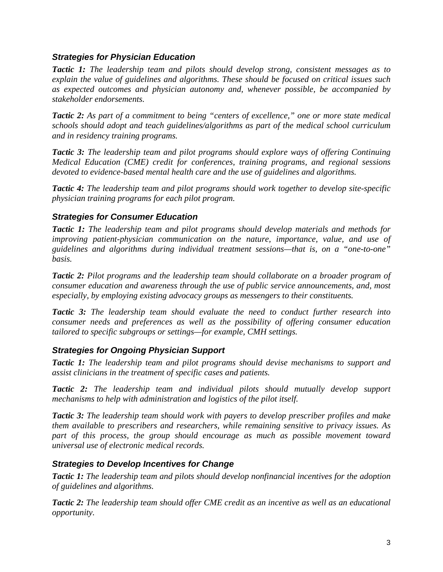#### *Strategies for Physician Education*

*Tactic 1: The leadership team and pilots should develop strong, consistent messages as to explain the value of guidelines and algorithms. These should be focused on critical issues such as expected outcomes and physician autonomy and, whenever possible, be accompanied by stakeholder endorsements.* 

*Tactic 2: As part of a commitment to being "centers of excellence," one or more state medical schools should adopt and teach guidelines/algorithms as part of the medical school curriculum and in residency training programs.* 

*Tactic 3: The leadership team and pilot programs should explore ways of offering Continuing Medical Education (CME) credit for conferences, training programs, and regional sessions devoted to evidence-based mental health care and the use of guidelines and algorithms.* 

*Tactic 4: The leadership team and pilot programs should work together to develop site-specific physician training programs for each pilot program.* 

#### *Strategies for Consumer Education*

*Tactic 1: The leadership team and pilot programs should develop materials and methods for improving patient-physician communication on the nature, importance, value, and use of guidelines and algorithms during individual treatment sessions—that is, on a "one-to-one" basis.* 

*Tactic 2: Pilot programs and the leadership team should collaborate on a broader program of consumer education and awareness through the use of public service announcements, and, most especially, by employing existing advocacy groups as messengers to their constituents.* 

*Tactic 3: The leadership team should evaluate the need to conduct further research into consumer needs and preferences as well as the possibility of offering consumer education tailored to specific subgroups or settings—for example, CMH settings.* 

#### *Strategies for Ongoing Physician Support*

*Tactic 1: The leadership team and pilot programs should devise mechanisms to support and assist clinicians in the treatment of specific cases and patients.* 

*Tactic 2: The leadership team and individual pilots should mutually develop support mechanisms to help with administration and logistics of the pilot itself.* 

*Tactic 3: The leadership team should work with payers to develop prescriber profiles and make them available to prescribers and researchers, while remaining sensitive to privacy issues. As part of this process, the group should encourage as much as possible movement toward universal use of electronic medical records.* 

#### *Strategies to Develop Incentives for Change*

*Tactic 1: The leadership team and pilots should develop nonfinancial incentives for the adoption of guidelines and algorithms.* 

*Tactic 2: The leadership team should offer CME credit as an incentive as well as an educational opportunity.*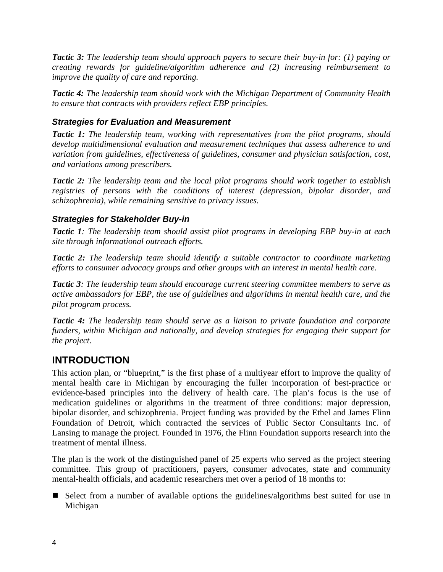<span id="page-7-0"></span>*Tactic 3: The leadership team should approach payers to secure their buy-in for: (1) paying or creating rewards for guideline/algorithm adherence and (2) increasing reimbursement to improve the quality of care and reporting.* 

*Tactic 4: The leadership team should work with the Michigan Department of Community Health to ensure that contracts with providers reflect EBP principles.* 

#### *Strategies for Evaluation and Measurement*

*Tactic 1: The leadership team, working with representatives from the pilot programs, should develop multidimensional evaluation and measurement techniques that assess adherence to and variation from guidelines, effectiveness of guidelines, consumer and physician satisfaction, cost, and variations among prescribers.* 

*Tactic 2: The leadership team and the local pilot programs should work together to establish registries of persons with the conditions of interest (depression, bipolar disorder, and schizophrenia), while remaining sensitive to privacy issues.* 

#### *Strategies for Stakeholder Buy-in*

*Tactic 1: The leadership team should assist pilot programs in developing EBP buy-in at each site through informational outreach efforts.* 

*Tactic 2: The leadership team should identify a suitable contractor to coordinate marketing efforts to consumer advocacy groups and other groups with an interest in mental health care.* 

*Tactic 3: The leadership team should encourage current steering committee members to serve as active ambassadors for EBP, the use of guidelines and algorithms in mental health care, and the pilot program process.* 

*Tactic 4: The leadership team should serve as a liaison to private foundation and corporate funders, within Michigan and nationally, and develop strategies for engaging their support for the project.* 

## **INTRODUCTION**

This action plan, or "blueprint," is the first phase of a multiyear effort to improve the quality of mental health care in Michigan by encouraging the fuller incorporation of best-practice or evidence-based principles into the delivery of health care. The plan's focus is the use of medication guidelines or algorithms in the treatment of three conditions: major depression, bipolar disorder, and schizophrenia. Project funding was provided by the Ethel and James Flinn Foundation of Detroit, which contracted the services of Public Sector Consultants Inc. of Lansing to manage the project. Founded in 1976, the Flinn Foundation supports research into the treatment of mental illness.

The plan is the work of the distinguished panel of 25 experts who served as the project steering committee. This group of practitioners, payers, consumer advocates, state and community mental-health officials, and academic researchers met over a period of 18 months to:

Select from a number of available options the guidelines/algorithms best suited for use in Michigan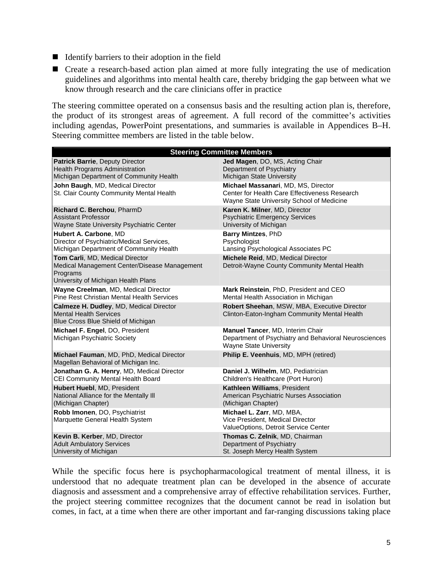- $\blacksquare$  Identify barriers to their adoption in the field
- Create a research-based action plan aimed at more fully integrating the use of medication guidelines and algorithms into mental health care, thereby bridging the gap between what we know through research and the care clinicians offer in practice

The steering committee operated on a consensus basis and the resulting action plan is, therefore, the product of its strongest areas of agreement. A full record of the committee's activities including agendas, PowerPoint presentations, and summaries is available in Appendices B–H. Steering committee members are listed in the table below.

| <b>Steering Committee Members</b>                                                                                                  |                                                                                                                                   |  |  |
|------------------------------------------------------------------------------------------------------------------------------------|-----------------------------------------------------------------------------------------------------------------------------------|--|--|
| <b>Patrick Barrie, Deputy Director</b>                                                                                             | Jed Magen, DO, MS, Acting Chair                                                                                                   |  |  |
| Health Programs Administration                                                                                                     | Department of Psychiatry                                                                                                          |  |  |
| Michigan Department of Community Health                                                                                            | Michigan State University                                                                                                         |  |  |
| John Baugh, MD, Medical Director<br>St. Clair County Community Mental Health                                                       | Michael Massanari, MD, MS, Director<br>Center for Health Care Effectiveness Research<br>Wayne State University School of Medicine |  |  |
| Richard C. Berchou, PharmD                                                                                                         | Karen K. Milner, MD, Director                                                                                                     |  |  |
| <b>Assistant Professor</b>                                                                                                         | <b>Psychiatric Emergency Services</b>                                                                                             |  |  |
| Wayne State University Psychiatric Center                                                                                          | University of Michigan                                                                                                            |  |  |
| Hubert A. Carbone, MD                                                                                                              | Barry Mintzes, PhD                                                                                                                |  |  |
| Director of Psychiatric/Medical Services,                                                                                          | Psychologist                                                                                                                      |  |  |
| Michigan Department of Community Health                                                                                            | Lansing Psychological Associates PC                                                                                               |  |  |
| Tom Carli, MD, Medical Director<br>Medical Management Center/Disease Management<br>Programs<br>University of Michigan Health Plans | Michele Reid, MD, Medical Director<br>Detroit-Wayne County Community Mental Health                                                |  |  |
| Wayne Creelman, MD, Medical Director                                                                                               | Mark Reinstein, PhD, President and CEO                                                                                            |  |  |
| <b>Pine Rest Christian Mental Health Services</b>                                                                                  | Mental Health Association in Michigan                                                                                             |  |  |
| Calmeze H. Dudley, MD, Medical Director<br><b>Mental Health Services</b><br>Blue Cross Blue Shield of Michigan                     | Robert Sheehan, MSW, MBA, Executive Director<br>Clinton-Eaton-Ingham Community Mental Health                                      |  |  |
| Michael F. Engel, DO, President<br>Michigan Psychiatric Society                                                                    | Manuel Tancer, MD, Interim Chair<br>Department of Psychiatry and Behavioral Neurosciences<br><b>Wayne State University</b>        |  |  |
| Michael Fauman, MD, PhD, Medical Director<br>Magellan Behavioral of Michigan Inc.                                                  | Philip E. Veenhuis, MD, MPH (retired)                                                                                             |  |  |
| Jonathan G. A. Henry, MD, Medical Director                                                                                         | Daniel J. Wilhelm, MD, Pediatrician                                                                                               |  |  |
| CEI Community Mental Health Board                                                                                                  | Children's Healthcare (Port Huron)                                                                                                |  |  |
| Hubert Huebl, MD, President                                                                                                        | Kathleen Williams, President                                                                                                      |  |  |
| National Alliance for the Mentally III                                                                                             | American Psychiatric Nurses Association                                                                                           |  |  |
| (Michigan Chapter)                                                                                                                 | (Michigan Chapter)                                                                                                                |  |  |
| Robb Imonen, DO, Psychiatrist<br>Marquette General Health System                                                                   | Michael L. Zarr, MD, MBA,<br>Vice President, Medical Director<br>ValueOptions, Detroit Service Center                             |  |  |
| Kevin B. Kerber, MD, Director                                                                                                      | Thomas C. Zelnik, MD, Chairman                                                                                                    |  |  |
| <b>Adult Ambulatory Services</b>                                                                                                   | Department of Psychiatry                                                                                                          |  |  |
| University of Michigan                                                                                                             | St. Joseph Mercy Health System                                                                                                    |  |  |

While the specific focus here is psychopharmacological treatment of mental illness, it is understood that no adequate treatment plan can be developed in the absence of accurate diagnosis and assessment and a comprehensive array of effective rehabilitation services. Further, the project steering committee recognizes that the document cannot be read in isolation but comes, in fact, at a time when there are other important and far-ranging discussions taking place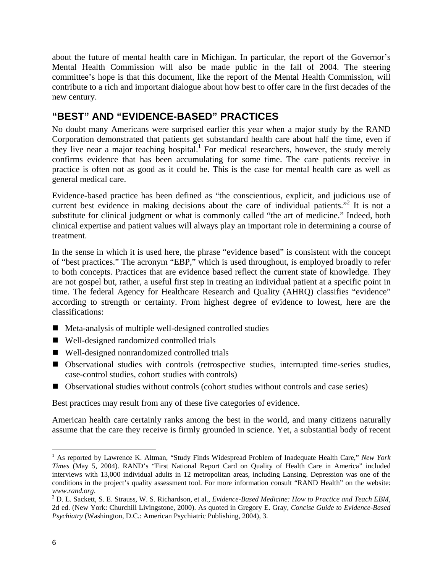<span id="page-9-0"></span>about the future of mental health care in Michigan. In particular, the report of the Governor's Mental Health Commission will also be made public in the fall of 2004. The steering committee's hope is that this document, like the report of the Mental Health Commission, will contribute to a rich and important dialogue about how best to offer care in the first decades of the new century.

## **"BEST" AND "EVIDENCE-BASED" PRACTICES**

No doubt many Americans were surprised earlier this year when a major study by the RAND Corporation demonstrated that patients get substandard health care about half the time, even if they live near a major teaching hospital.<sup>[1](#page-9-1)</sup> For medical researchers, however, the study merely confirms evidence that has been accumulating for some time. The care patients receive in practice is often not as good as it could be. This is the case for mental health care as well as general medical care.

Evidence-based practice has been defined as "the conscientious, explicit, and judicious use of currentbest evidence in making decisions about the care of individual patients."<sup>2</sup> It is not a substitute for clinical judgment or what is commonly called "the art of medicine." Indeed, both clinical expertise and patient values will always play an important role in determining a course of treatment.

In the sense in which it is used here, the phrase "evidence based" is consistent with the concept of "best practices." The acronym "EBP," which is used throughout, is employed broadly to refer to both concepts. Practices that are evidence based reflect the current state of knowledge. They are not gospel but, rather, a useful first step in treating an individual patient at a specific point in time. The federal Agency for Healthcare Research and Quality (AHRQ) classifies "evidence" according to strength or certainty. From highest degree of evidence to lowest, here are the classifications:

- $\blacksquare$  Meta-analysis of multiple well-designed controlled studies
- Well-designed randomized controlled trials
- Well-designed nonrandomized controlled trials
- Observational studies with controls (retrospective studies, interrupted time-series studies, case-control studies, cohort studies with controls)
- Observational studies without controls (cohort studies without controls and case series)

Best practices may result from any of these five categories of evidence.

American health care certainly ranks among the best in the world, and many citizens naturally assume that the care they receive is firmly grounded in science. Yet, a substantial body of recent

<span id="page-9-1"></span> $\frac{1}{1}$ <sup>1</sup> As reported by Lawrence K. Altman, "Study Finds Widespread Problem of Inadequate Health Care," *New York Times* (May 5, 2004). RAND's "First National Report Card on Quality of Health Care in America" included interviews with 13,000 individual adults in 12 metropolitan areas, including Lansing. Depression was one of the conditions in the project's quality assessment tool. For more information consult "RAND Health" on the website: *www.rand.org*. 2

<span id="page-9-2"></span>D. L. Sackett, S. E. Strauss, W. S. Richardson, et al., *Evidence-Based Medicine: How to Practice and Teach EBM*, 2d ed. (New York: Churchill Livingstone, 2000). As quoted in Gregory E. Gray, *Concise Guide to Evidence-Based Psychiatry* (Washington, D.C.: American Psychiatric Publishing, 2004), 3.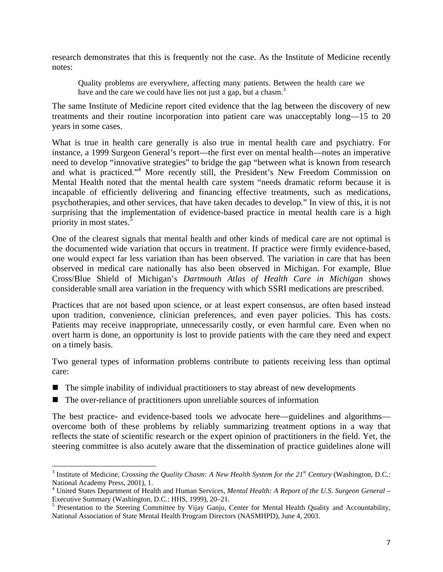research demonstrates that this is frequently not the case. As the Institute of Medicine recently notes:

Quality problems are everywhere, affecting many patients. Between the health care we have and the care we could have lies not just a gap, but a chasm.<sup>[3](#page-10-0)</sup>

The same Institute of Medicine report cited evidence that the lag between the discovery of new treatments and their routine incorporation into patient care was unacceptably long—15 to 20 years in some cases.

What is true in health care generally is also true in mental health care and psychiatry. For instance, a 1999 Surgeon General's report—the first ever on mental health—notes an imperative need to develop "innovative strategies" to bridge the gap "between what is known from research and what is practiced."[4](#page-10-1) More recently still, the President's New Freedom Commission on Mental Health noted that the mental health care system "needs dramatic reform because it is incapable of efficiently delivering and financing effective treatments, such as medications, psychotherapies, and other services, that have taken decades to develop." In view of this, it is not surprising that the implementation of evidence-based practice in mental health care is a high priority in most states.<sup>5</sup>

One of the clearest signals that mental health and other kinds of medical care are not optimal is the documented wide variation that occurs in treatment. If practice were firmly evidence-based, one would expect far less variation than has been observed. The variation in care that has been observed in medical care nationally has also been observed in Michigan. For example, Blue Cross/Blue Shield of Michigan's *Dartmouth Atlas of Health Care in Michigan* shows considerable small area variation in the frequency with which SSRI medications are prescribed.

Practices that are not based upon science, or at least expert consensus, are often based instead upon tradition, convenience, clinician preferences, and even payer policies. This has costs. Patients may receive inappropriate, unnecessarily costly, or even harmful care. Even when no overt harm is done, an opportunity is lost to provide patients with the care they need and expect on a timely basis.

Two general types of information problems contribute to patients receiving less than optimal care:

- $\blacksquare$  The simple inability of individual practitioners to stay abreast of new developments
- The over-reliance of practitioners upon unreliable sources of information

The best practice- and evidence-based tools we advocate here—guidelines and algorithms overcome both of these problems by reliably summarizing treatment options in a way that reflects the state of scientific research or the expert opinion of practitioners in the field. Yet, the steering committee is also acutely aware that the dissemination of practice guidelines alone will

<span id="page-10-0"></span>3 <sup>3</sup> Institute of Medicine, *Crossing the Quality Chasm: A New Health System for the*  $21^{st}$  *Century* (Washington, D.C.: National Academy Press, 2001), 1.

<span id="page-10-1"></span>United States Department of Health and Human Services, *Mental Health: A Report of the U.S. Surgeon General* – Executive Summary (Washington, D.C.: HHS, 1999), 20–21.

<span id="page-10-2"></span><sup>&</sup>lt;sup>5</sup> Presentation to the Steering Committee by Vijay Ganju, Center for Mental Health Quality and Accountability, National Association of State Mental Health Program Directors (NASMHPD), June 4, 2003.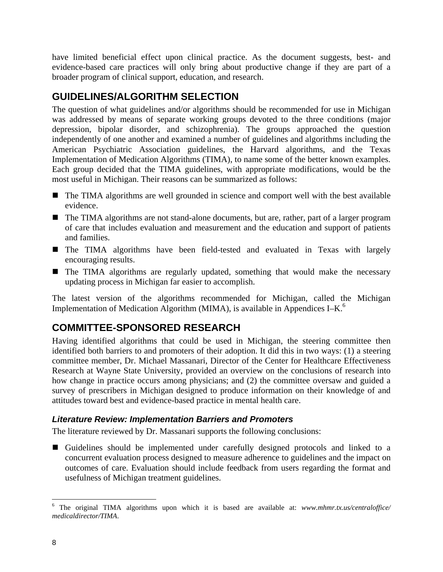<span id="page-11-0"></span>have limited beneficial effect upon clinical practice. As the document suggests, best- and evidence-based care practices will only bring about productive change if they are part of a broader program of clinical support, education, and research.

## **GUIDELINES/ALGORITHM SELECTION**

The question of what guidelines and/or algorithms should be recommended for use in Michigan was addressed by means of separate working groups devoted to the three conditions (major depression, bipolar disorder, and schizophrenia). The groups approached the question independently of one another and examined a number of guidelines and algorithms including the American Psychiatric Association guidelines, the Harvard algorithms, and the Texas Implementation of Medication Algorithms (TIMA), to name some of the better known examples. Each group decided that the TIMA guidelines, with appropriate modifications, would be the most useful in Michigan. Their reasons can be summarized as follows:

- The TIMA algorithms are well grounded in science and comport well with the best available evidence.
- The TIMA algorithms are not stand-alone documents, but are, rather, part of a larger program of care that includes evaluation and measurement and the education and support of patients and families.
- The TIMA algorithms have been field-tested and evaluated in Texas with largely encouraging results.
- The TIMA algorithms are regularly updated, something that would make the necessary updating process in Michigan far easier to accomplish.

The latest version of the algorithms recommended for Michigan, called the Michigan Implementation of Medication Algorithm (MIMA), is available in Appendices I–K.<sup>[6](#page-11-1)</sup>

## **COMMITTEE-SPONSORED RESEARCH**

Having identified algorithms that could be used in Michigan, the steering committee then identified both barriers to and promoters of their adoption. It did this in two ways: (1) a steering committee member, Dr. Michael Massanari, Director of the Center for Healthcare Effectiveness Research at Wayne State University, provided an overview on the conclusions of research into how change in practice occurs among physicians; and (2) the committee oversaw and guided a survey of prescribers in Michigan designed to produce information on their knowledge of and attitudes toward best and evidence-based practice in mental health care.

#### *Literature Review: Implementation Barriers and Promoters*

The literature reviewed by Dr. Massanari supports the following conclusions:

 Guidelines should be implemented under carefully designed protocols and linked to a concurrent evaluation process designed to measure adherence to guidelines and the impact on outcomes of care. Evaluation should include feedback from users regarding the format and usefulness of Michigan treatment guidelines.

<span id="page-11-1"></span> $6$  The original TIMA algorithms upon which it is based are available at: *[www.mhmr.tx.us/centraloffice/](http://www.mhmr.tx.us/centraloffice/) medicaldirector/TIMA*.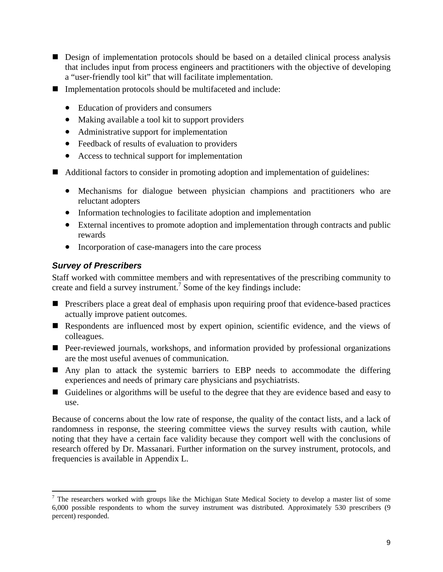- <span id="page-12-0"></span>Design of implementation protocols should be based on a detailed clinical process analysis that includes input from process engineers and practitioners with the objective of developing a "user-friendly tool kit" that will facilitate implementation.
- Implementation protocols should be multifaceted and include:
	- Education of providers and consumers
	- Making available a tool kit to support providers
	- Administrative support for implementation
	- Feedback of results of evaluation to providers
	- Access to technical support for implementation
- Additional factors to consider in promoting adoption and implementation of guidelines:
	- Mechanisms for dialogue between physician champions and practitioners who are reluctant adopters
	- Information technologies to facilitate adoption and implementation
	- External incentives to promote adoption and implementation through contracts and public rewards
	- Incorporation of case-managers into the care process

#### *Survey of Prescribers*

Staff worked with committee members and with representatives of the prescribing community to create and field a survey instrument.<sup>[7](#page-12-1)</sup> Some of the key findings include:

- **Prescribers place a great deal of emphasis upon requiring proof that evidence-based practices** actually improve patient outcomes.
- Respondents are influenced most by expert opinion, scientific evidence, and the views of colleagues.
- Peer-reviewed journals, workshops, and information provided by professional organizations are the most useful avenues of communication.
- Any plan to attack the systemic barriers to EBP needs to accommodate the differing experiences and needs of primary care physicians and psychiatrists.
- Guidelines or algorithms will be useful to the degree that they are evidence based and easy to use.

Because of concerns about the low rate of response, the quality of the contact lists, and a lack of randomness in response, the steering committee views the survey results with caution, while noting that they have a certain face validity because they comport well with the conclusions of research offered by Dr. Massanari. Further information on the survey instrument, protocols, and frequencies is available in Appendix L.

<span id="page-12-1"></span><sup>&</sup>lt;sup>7</sup> The researchers worked with groups like the Michigan State Medical Society to develop a master list of some 6,000 possible respondents to whom the survey instrument was distributed. Approximately 530 prescribers (9 percent) responded.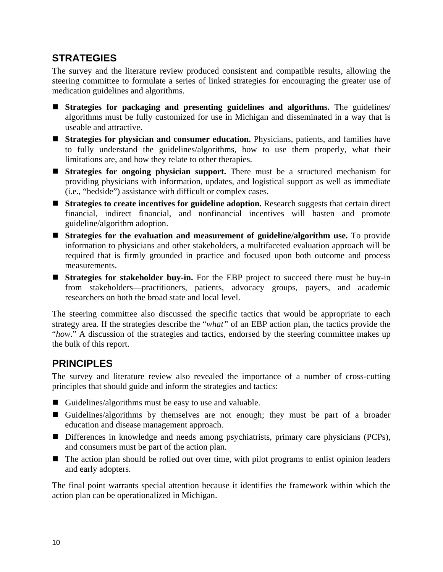## <span id="page-13-0"></span>**STRATEGIES**

The survey and the literature review produced consistent and compatible results, allowing the steering committee to formulate a series of linked strategies for encouraging the greater use of medication guidelines and algorithms.

- **Strategies for packaging and presenting guidelines and algorithms.** The guidelines/ algorithms must be fully customized for use in Michigan and disseminated in a way that is useable and attractive.
- **Strategies for physician and consumer education.** Physicians, patients, and families have to fully understand the guidelines/algorithms, how to use them properly, what their limitations are, and how they relate to other therapies.
- **Strategies for ongoing physician support.** There must be a structured mechanism for providing physicians with information, updates, and logistical support as well as immediate (i.e., "bedside") assistance with difficult or complex cases.
- **Strategies to create incentives for guideline adoption.** Research suggests that certain direct financial, indirect financial, and nonfinancial incentives will hasten and promote guideline/algorithm adoption.
- **Strategies for the evaluation and measurement of guideline/algorithm use.** To provide information to physicians and other stakeholders, a multifaceted evaluation approach will be required that is firmly grounded in practice and focused upon both outcome and process measurements.
- **Strategies for stakeholder buy-in.** For the EBP project to succeed there must be buy-in from stakeholders—practitioners, patients, advocacy groups, payers, and academic researchers on both the broad state and local level.

The steering committee also discussed the specific tactics that would be appropriate to each strategy area. If the strategies describe the "*what"* of an EBP action plan, the tactics provide the "*how*." A discussion of the strategies and tactics, endorsed by the steering committee makes up the bulk of this report.

## **PRINCIPLES**

The survey and literature review also revealed the importance of a number of cross-cutting principles that should guide and inform the strategies and tactics:

- Guidelines/algorithms must be easy to use and valuable.
- Guidelines/algorithms by themselves are not enough; they must be part of a broader education and disease management approach.
- Differences in knowledge and needs among psychiatrists, primary care physicians (PCPs), and consumers must be part of the action plan.
- The action plan should be rolled out over time, with pilot programs to enlist opinion leaders and early adopters.

The final point warrants special attention because it identifies the framework within which the action plan can be operationalized in Michigan.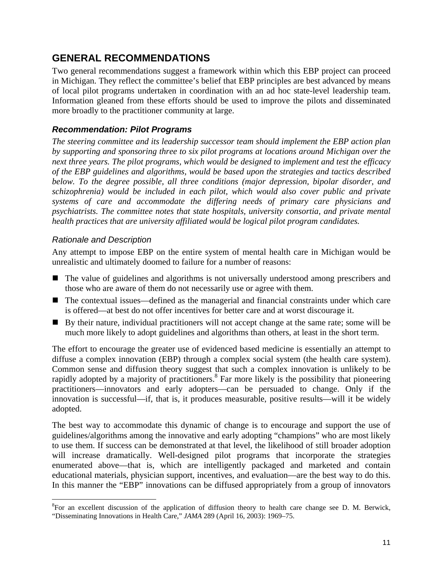## <span id="page-14-0"></span>**GENERAL RECOMMENDATIONS**

Two general recommendations suggest a framework within which this EBP project can proceed in Michigan. They reflect the committee's belief that EBP principles are best advanced by means of local pilot programs undertaken in coordination with an ad hoc state-level leadership team. Information gleaned from these efforts should be used to improve the pilots and disseminated more broadly to the practitioner community at large.

#### *Recommendation: Pilot Programs*

*The steering committee and its leadership successor team should implement the EBP action plan by supporting and sponsoring three to six pilot programs at locations around Michigan over the next three years. The pilot programs, which would be designed to implement and test the efficacy of the EBP guidelines and algorithms, would be based upon the strategies and tactics described below. To the degree possible, all three conditions (major depression, bipolar disorder, and schizophrenia) would be included in each pilot, which would also cover public and private systems of care and accommodate the differing needs of primary care physicians and psychiatrists. The committee notes that state hospitals, university consortia, and private mental health practices that are university affiliated would be logical pilot program candidates.* 

#### *Rationale and Description*

Any attempt to impose EBP on the entire system of mental health care in Michigan would be unrealistic and ultimately doomed to failure for a number of reasons:

- The value of guidelines and algorithms is not universally understood among prescribers and those who are aware of them do not necessarily use or agree with them.
- The contextual issues—defined as the managerial and financial constraints under which care is offered—at best do not offer incentives for better care and at worst discourage it.
- By their nature, individual practitioners will not accept change at the same rate; some will be much more likely to adopt guidelines and algorithms than others, at least in the short term.

The effort to encourage the greater use of evidenced based medicine is essentially an attempt to diffuse a complex innovation (EBP) through a complex social system (the health care system). Common sense and diffusion theory suggest that such a complex innovation is unlikely to be rapidly adopted by a majority of practitioners.<sup>[8](#page-14-1)</sup> Far more likely is the possibility that pioneering practitioners—innovators and early adopters—can be persuaded to change. Only if the innovation is successful—if, that is, it produces measurable, positive results—will it be widely adopted.

The best way to accommodate this dynamic of change is to encourage and support the use of guidelines/algorithms among the innovative and early adopting "champions" who are most likely to use them. If success can be demonstrated at that level, the likelihood of still broader adoption will increase dramatically. Well-designed pilot programs that incorporate the strategies enumerated above—that is, which are intelligently packaged and marketed and contain educational materials, physician support, incentives, and evaluation—are the best way to do this. In this manner the "EBP" innovations can be diffused appropriately from a group of innovators

<span id="page-14-1"></span> $\frac{1}{8}$ <sup>8</sup>For an excellent discussion of the application of diffusion theory to health care change see D. M. Berwick, "Disseminating Innovations in Health Care," *JAMA* 289 (April 16, 2003): 1969–75.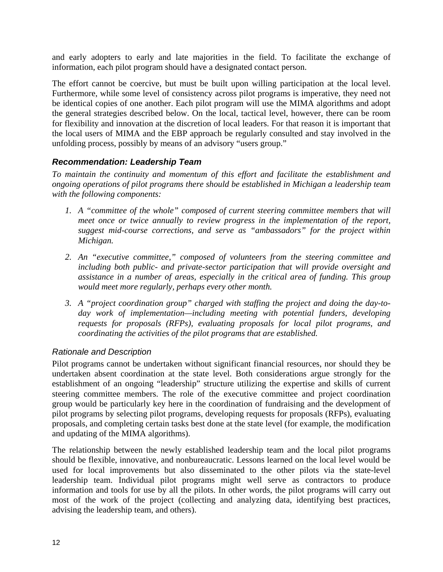<span id="page-15-0"></span>and early adopters to early and late majorities in the field. To facilitate the exchange of information, each pilot program should have a designated contact person.

The effort cannot be coercive, but must be built upon willing participation at the local level. Furthermore, while some level of consistency across pilot programs is imperative, they need not be identical copies of one another. Each pilot program will use the MIMA algorithms and adopt the general strategies described below. On the local, tactical level, however, there can be room for flexibility and innovation at the discretion of local leaders. For that reason it is important that the local users of MIMA and the EBP approach be regularly consulted and stay involved in the unfolding process, possibly by means of an advisory "users group."

#### *Recommendation: Leadership Team*

*To maintain the continuity and momentum of this effort and facilitate the establishment and ongoing operations of pilot programs there should be established in Michigan a leadership team with the following components:* 

- *1. A "committee of the whole" composed of current steering committee members that will meet once or twice annually to review progress in the implementation of the report, suggest mid-course corrections, and serve as "ambassadors" for the project within Michigan.*
- *2. An "executive committee," composed of volunteers from the steering committee and including both public- and private-sector participation that will provide oversight and assistance in a number of areas, especially in the critical area of funding. This group would meet more regularly, perhaps every other month.*
- *3. A "project coordination group" charged with staffing the project and doing the day-today work of implementation—including meeting with potential funders, developing requests for proposals (RFPs), evaluating proposals for local pilot programs, and coordinating the activities of the pilot programs that are established.*

#### *Rationale and Description*

Pilot programs cannot be undertaken without significant financial resources, nor should they be undertaken absent coordination at the state level. Both considerations argue strongly for the establishment of an ongoing "leadership" structure utilizing the expertise and skills of current steering committee members. The role of the executive committee and project coordination group would be particularly key here in the coordination of fundraising and the development of pilot programs by selecting pilot programs, developing requests for proposals (RFPs), evaluating proposals, and completing certain tasks best done at the state level (for example, the modification and updating of the MIMA algorithms).

The relationship between the newly established leadership team and the local pilot programs should be flexible, innovative, and nonbureaucratic. Lessons learned on the local level would be used for local improvements but also disseminated to the other pilots via the state-level leadership team. Individual pilot programs might well serve as contractors to produce information and tools for use by all the pilots. In other words, the pilot programs will carry out most of the work of the project (collecting and analyzing data, identifying best practices, advising the leadership team, and others).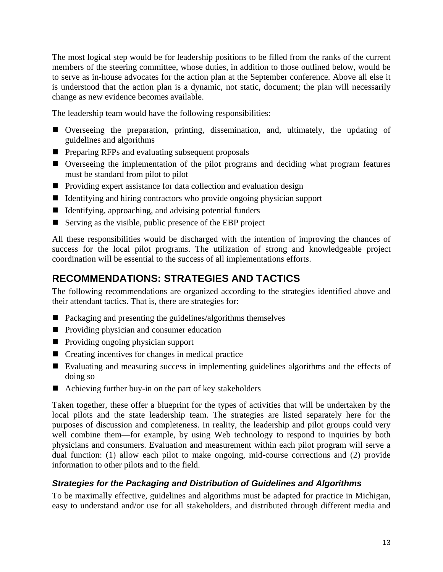<span id="page-16-0"></span>The most logical step would be for leadership positions to be filled from the ranks of the current members of the steering committee, whose duties, in addition to those outlined below, would be to serve as in-house advocates for the action plan at the September conference. Above all else it is understood that the action plan is a dynamic, not static, document; the plan will necessarily change as new evidence becomes available.

The leadership team would have the following responsibilities:

- Overseeing the preparation, printing, dissemination, and, ultimately, the updating of guidelines and algorithms
- **Preparing RFPs and evaluating subsequent proposals**
- Overseeing the implementation of the pilot programs and deciding what program features must be standard from pilot to pilot
- Providing expert assistance for data collection and evaluation design
- If Identifying and hiring contractors who provide ongoing physician support
- $\blacksquare$  Identifying, approaching, and advising potential funders
- Serving as the visible, public presence of the EBP project

All these responsibilities would be discharged with the intention of improving the chances of success for the local pilot programs. The utilization of strong and knowledgeable project coordination will be essential to the success of all implementations efforts.

## **RECOMMENDATIONS: STRATEGIES AND TACTICS**

The following recommendations are organized according to the strategies identified above and their attendant tactics. That is, there are strategies for:

- $\blacksquare$  Packaging and presenting the guidelines/algorithms themselves
- **Providing physician and consumer education**
- **Providing ongoing physician support**
- Creating incentives for changes in medical practice
- Evaluating and measuring success in implementing guidelines algorithms and the effects of doing so
- Achieving further buy-in on the part of key stakeholders

Taken together, these offer a blueprint for the types of activities that will be undertaken by the local pilots and the state leadership team. The strategies are listed separately here for the purposes of discussion and completeness. In reality, the leadership and pilot groups could very well combine them—for example, by using Web technology to respond to inquiries by both physicians and consumers. Evaluation and measurement within each pilot program will serve a dual function: (1) allow each pilot to make ongoing, mid-course corrections and (2) provide information to other pilots and to the field.

## *Strategies for the Packaging and Distribution of Guidelines and Algorithms*

To be maximally effective, guidelines and algorithms must be adapted for practice in Michigan, easy to understand and/or use for all stakeholders, and distributed through different media and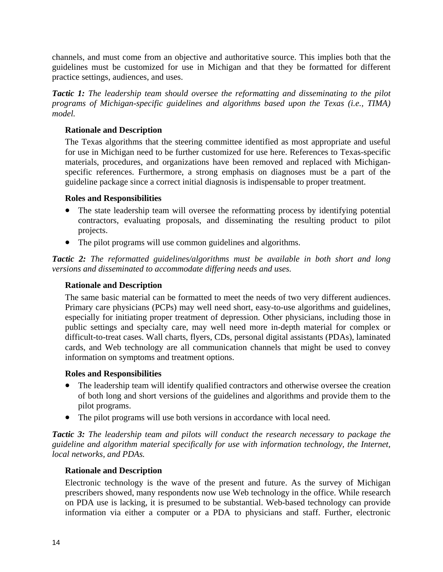channels, and must come from an objective and authoritative source. This implies both that the guidelines must be customized for use in Michigan and that they be formatted for different practice settings, audiences, and uses.

*Tactic 1: The leadership team should oversee the reformatting and disseminating to the pilot programs of Michigan-specific guidelines and algorithms based upon the Texas (i.e., TIMA) model.* 

#### **Rationale and Description**

The Texas algorithms that the steering committee identified as most appropriate and useful for use in Michigan need to be further customized for use here. References to Texas-specific materials, procedures, and organizations have been removed and replaced with Michiganspecific references. Furthermore, a strong emphasis on diagnoses must be a part of the guideline package since a correct initial diagnosis is indispensable to proper treatment.

#### **Roles and Responsibilities**

- The state leadership team will oversee the reformatting process by identifying potential contractors, evaluating proposals, and disseminating the resulting product to pilot projects.
- The pilot programs will use common guidelines and algorithms.

*Tactic 2: The reformatted guidelines/algorithms must be available in both short and long versions and disseminated to accommodate differing needs and uses.* 

#### **Rationale and Description**

The same basic material can be formatted to meet the needs of two very different audiences. Primary care physicians (PCPs) may well need short, easy-to-use algorithms and guidelines, especially for initiating proper treatment of depression. Other physicians, including those in public settings and specialty care, may well need more in-depth material for complex or difficult-to-treat cases. Wall charts, flyers, CDs, personal digital assistants (PDAs), laminated cards, and Web technology are all communication channels that might be used to convey information on symptoms and treatment options.

#### **Roles and Responsibilities**

- The leadership team will identify qualified contractors and otherwise oversee the creation of both long and short versions of the guidelines and algorithms and provide them to the pilot programs.
- The pilot programs will use both versions in accordance with local need.

*Tactic 3: The leadership team and pilots will conduct the research necessary to package the guideline and algorithm material specifically for use with information technology, the Internet, local networks, and PDAs.* 

#### **Rationale and Description**

Electronic technology is the wave of the present and future. As the survey of Michigan prescribers showed, many respondents now use Web technology in the office. While research on PDA use is lacking, it is presumed to be substantial. Web-based technology can provide information via either a computer or a PDA to physicians and staff. Further, electronic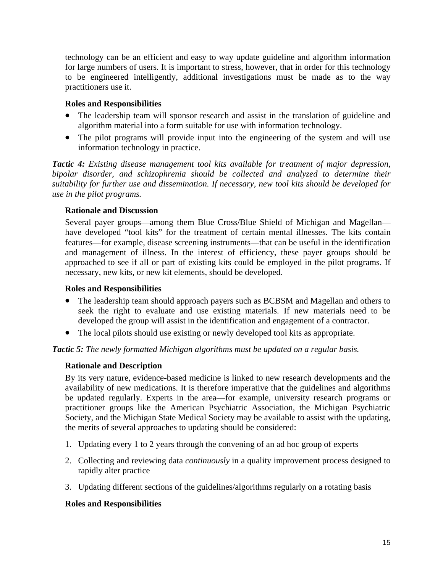technology can be an efficient and easy to way update guideline and algorithm information for large numbers of users. It is important to stress, however, that in order for this technology to be engineered intelligently, additional investigations must be made as to the way practitioners use it.

#### **Roles and Responsibilities**

- The leadership team will sponsor research and assist in the translation of guideline and algorithm material into a form suitable for use with information technology.
- The pilot programs will provide input into the engineering of the system and will use information technology in practice.

*Tactic 4: Existing disease management tool kits available for treatment of major depression, bipolar disorder, and schizophrenia should be collected and analyzed to determine their suitability for further use and dissemination. If necessary, new tool kits should be developed for use in the pilot programs.* 

#### **Rationale and Discussion**

Several payer groups—among them Blue Cross/Blue Shield of Michigan and Magellan have developed "tool kits" for the treatment of certain mental illnesses. The kits contain features—for example, disease screening instruments—that can be useful in the identification and management of illness. In the interest of efficiency, these payer groups should be approached to see if all or part of existing kits could be employed in the pilot programs. If necessary, new kits, or new kit elements, should be developed.

#### **Roles and Responsibilities**

- The leadership team should approach payers such as BCBSM and Magellan and others to seek the right to evaluate and use existing materials. If new materials need to be developed the group will assist in the identification and engagement of a contractor.
- The local pilots should use existing or newly developed tool kits as appropriate.

*Tactic 5: The newly formatted Michigan algorithms must be updated on a regular basis.* 

#### **Rationale and Description**

By its very nature, evidence-based medicine is linked to new research developments and the availability of new medications. It is therefore imperative that the guidelines and algorithms be updated regularly. Experts in the area—for example, university research programs or practitioner groups like the American Psychiatric Association, the Michigan Psychiatric Society, and the Michigan State Medical Society may be available to assist with the updating, the merits of several approaches to updating should be considered:

- 1. Updating every 1 to 2 years through the convening of an ad hoc group of experts
- 2. Collecting and reviewing data *continuously* in a quality improvement process designed to rapidly alter practice
- 3. Updating different sections of the guidelines/algorithms regularly on a rotating basis

#### **Roles and Responsibilities**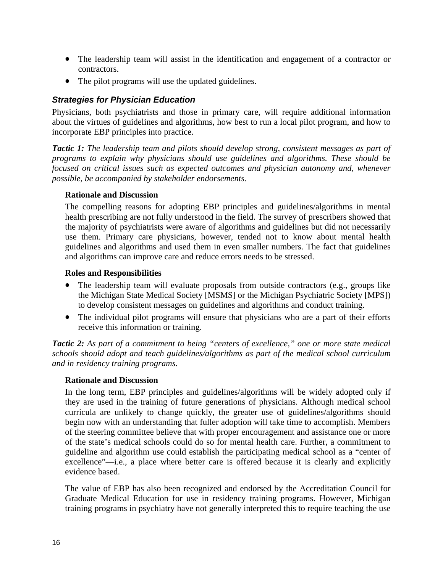- The leadership team will assist in the identification and engagement of a contractor or contractors.
- The pilot programs will use the updated guidelines.

#### *Strategies for Physician Education*

Physicians, both psychiatrists and those in primary care, will require additional information about the virtues of guidelines and algorithms, how best to run a local pilot program, and how to incorporate EBP principles into practice.

*Tactic 1: The leadership team and pilots should develop strong, consistent messages as part of programs to explain why physicians should use guidelines and algorithms. These should be focused on critical issues such as expected outcomes and physician autonomy and, whenever possible, be accompanied by stakeholder endorsements.* 

#### **Rationale and Discussion**

The compelling reasons for adopting EBP principles and guidelines/algorithms in mental health prescribing are not fully understood in the field. The survey of prescribers showed that the majority of psychiatrists were aware of algorithms and guidelines but did not necessarily use them. Primary care physicians, however, tended not to know about mental health guidelines and algorithms and used them in even smaller numbers. The fact that guidelines and algorithms can improve care and reduce errors needs to be stressed.

#### **Roles and Responsibilities**

- The leadership team will evaluate proposals from outside contractors (e.g., groups like the Michigan State Medical Society [MSMS] or the Michigan Psychiatric Society [MPS]) to develop consistent messages on guidelines and algorithms and conduct training.
- The individual pilot programs will ensure that physicians who are a part of their efforts receive this information or training.

*Tactic 2: As part of a commitment to being "centers of excellence," one or more state medical schools should adopt and teach guidelines/algorithms as part of the medical school curriculum and in residency training programs.* 

#### **Rationale and Discussion**

In the long term, EBP principles and guidelines/algorithms will be widely adopted only if they are used in the training of future generations of physicians. Although medical school curricula are unlikely to change quickly, the greater use of guidelines/algorithms should begin now with an understanding that fuller adoption will take time to accomplish. Members of the steering committee believe that with proper encouragement and assistance one or more of the state's medical schools could do so for mental health care. Further, a commitment to guideline and algorithm use could establish the participating medical school as a "center of excellence"—i.e., a place where better care is offered because it is clearly and explicitly evidence based.

The value of EBP has also been recognized and endorsed by the Accreditation Council for Graduate Medical Education for use in residency training programs. However, Michigan training programs in psychiatry have not generally interpreted this to require teaching the use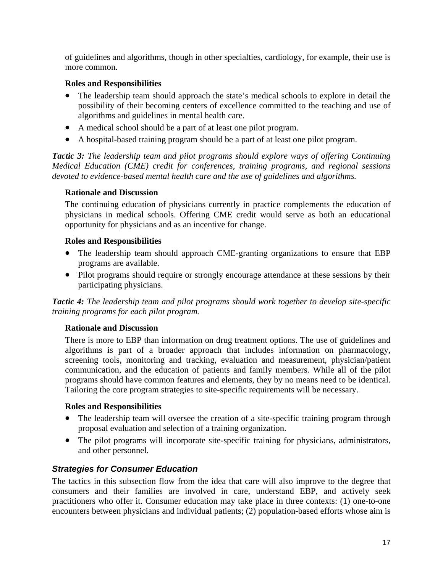of guidelines and algorithms, though in other specialties, cardiology, for example, their use is more common.

#### **Roles and Responsibilities**

- The leadership team should approach the state's medical schools to explore in detail the possibility of their becoming centers of excellence committed to the teaching and use of algorithms and guidelines in mental health care.
- A medical school should be a part of at least one pilot program.
- A hospital-based training program should be a part of at least one pilot program.

*Tactic 3: The leadership team and pilot programs should explore ways of offering Continuing Medical Education (CME) credit for conferences, training programs, and regional sessions devoted to evidence-based mental health care and the use of guidelines and algorithms.* 

#### **Rationale and Discussion**

The continuing education of physicians currently in practice complements the education of physicians in medical schools. Offering CME credit would serve as both an educational opportunity for physicians and as an incentive for change.

#### **Roles and Responsibilities**

- The leadership team should approach CME-granting organizations to ensure that EBP programs are available.
- Pilot programs should require or strongly encourage attendance at these sessions by their participating physicians.

*Tactic 4: The leadership team and pilot programs should work together to develop site-specific training programs for each pilot program.* 

#### **Rationale and Discussion**

There is more to EBP than information on drug treatment options. The use of guidelines and algorithms is part of a broader approach that includes information on pharmacology, screening tools, monitoring and tracking, evaluation and measurement, physician/patient communication, and the education of patients and family members. While all of the pilot programs should have common features and elements, they by no means need to be identical. Tailoring the core program strategies to site-specific requirements will be necessary.

#### **Roles and Responsibilities**

- The leadership team will oversee the creation of a site-specific training program through proposal evaluation and selection of a training organization.
- The pilot programs will incorporate site-specific training for physicians, administrators, and other personnel.

## *Strategies for Consumer Education*

The tactics in this subsection flow from the idea that care will also improve to the degree that consumers and their families are involved in care, understand EBP, and actively seek practitioners who offer it. Consumer education may take place in three contexts: (1) one-to-one encounters between physicians and individual patients; (2) population-based efforts whose aim is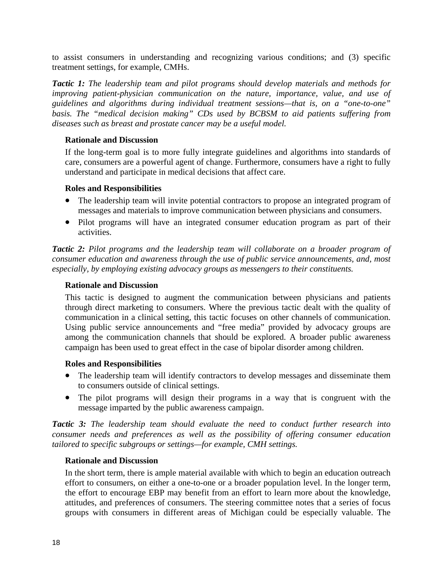to assist consumers in understanding and recognizing various conditions; and (3) specific treatment settings, for example, CMHs.

*Tactic 1: The leadership team and pilot programs should develop materials and methods for improving patient-physician communication on the nature, importance, value, and use of guidelines and algorithms during individual treatment sessions—that is, on a "one-to-one" basis. The "medical decision making" CDs used by BCBSM to aid patients suffering from diseases such as breast and prostate cancer may be a useful model.* 

#### **Rationale and Discussion**

If the long-term goal is to more fully integrate guidelines and algorithms into standards of care, consumers are a powerful agent of change. Furthermore, consumers have a right to fully understand and participate in medical decisions that affect care.

#### **Roles and Responsibilities**

- The leadership team will invite potential contractors to propose an integrated program of messages and materials to improve communication between physicians and consumers.
- Pilot programs will have an integrated consumer education program as part of their activities.

*Tactic 2: Pilot programs and the leadership team will collaborate on a broader program of consumer education and awareness through the use of public service announcements, and, most especially, by employing existing advocacy groups as messengers to their constituents.* 

#### **Rationale and Discussion**

This tactic is designed to augment the communication between physicians and patients through direct marketing to consumers. Where the previous tactic dealt with the quality of communication in a clinical setting, this tactic focuses on other channels of communication. Using public service announcements and "free media" provided by advocacy groups are among the communication channels that should be explored. A broader public awareness campaign has been used to great effect in the case of bipolar disorder among children.

#### **Roles and Responsibilities**

- The leadership team will identify contractors to develop messages and disseminate them to consumers outside of clinical settings.
- The pilot programs will design their programs in a way that is congruent with the message imparted by the public awareness campaign.

*Tactic 3: The leadership team should evaluate the need to conduct further research into consumer needs and preferences as well as the possibility of offering consumer education tailored to specific subgroups or settings—for example, CMH settings.* 

#### **Rationale and Discussion**

In the short term, there is ample material available with which to begin an education outreach effort to consumers, on either a one-to-one or a broader population level. In the longer term, the effort to encourage EBP may benefit from an effort to learn more about the knowledge, attitudes, and preferences of consumers. The steering committee notes that a series of focus groups with consumers in different areas of Michigan could be especially valuable. The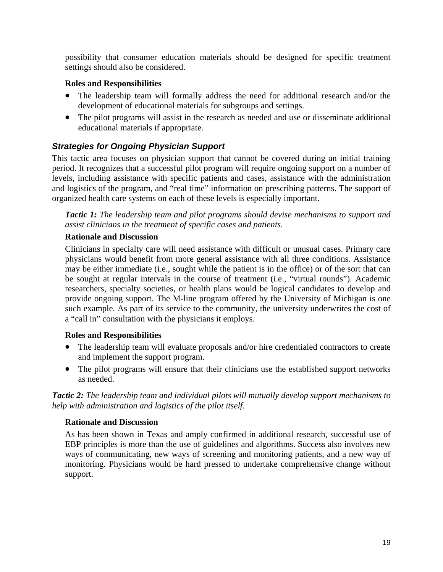possibility that consumer education materials should be designed for specific treatment settings should also be considered.

#### **Roles and Responsibilities**

- The leadership team will formally address the need for additional research and/or the development of educational materials for subgroups and settings.
- The pilot programs will assist in the research as needed and use or disseminate additional educational materials if appropriate.

#### *Strategies for Ongoing Physician Support*

This tactic area focuses on physician support that cannot be covered during an initial training period. It recognizes that a successful pilot program will require ongoing support on a number of levels, including assistance with specific patients and cases, assistance with the administration and logistics of the program, and "real time" information on prescribing patterns. The support of organized health care systems on each of these levels is especially important.

*Tactic 1: The leadership team and pilot programs should devise mechanisms to support and assist clinicians in the treatment of specific cases and patients.* 

#### **Rationale and Discussion**

Clinicians in specialty care will need assistance with difficult or unusual cases. Primary care physicians would benefit from more general assistance with all three conditions. Assistance may be either immediate (i.e., sought while the patient is in the office) or of the sort that can be sought at regular intervals in the course of treatment (i.e., "virtual rounds"). Academic researchers, specialty societies, or health plans would be logical candidates to develop and provide ongoing support. The M-line program offered by the University of Michigan is one such example. As part of its service to the community, the university underwrites the cost of a "call in" consultation with the physicians it employs.

#### **Roles and Responsibilities**

- The leadership team will evaluate proposals and/or hire credentialed contractors to create and implement the support program.
- The pilot programs will ensure that their clinicians use the established support networks as needed.

*Tactic 2: The leadership team and individual pilots will mutually develop support mechanisms to help with administration and logistics of the pilot itself.* 

#### **Rationale and Discussion**

As has been shown in Texas and amply confirmed in additional research, successful use of EBP principles is more than the use of guidelines and algorithms. Success also involves new ways of communicating, new ways of screening and monitoring patients, and a new way of monitoring. Physicians would be hard pressed to undertake comprehensive change without support.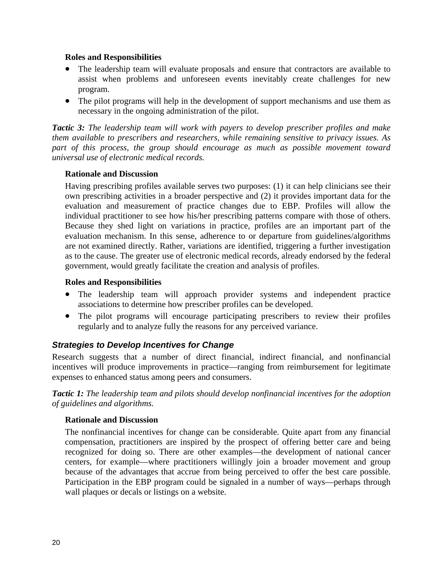#### **Roles and Responsibilities**

- The leadership team will evaluate proposals and ensure that contractors are available to assist when problems and unforeseen events inevitably create challenges for new program.
- The pilot programs will help in the development of support mechanisms and use them as necessary in the ongoing administration of the pilot.

*Tactic 3: The leadership team will work with payers to develop prescriber profiles and make them available to prescribers and researchers, while remaining sensitive to privacy issues. As part of this process, the group should encourage as much as possible movement toward universal use of electronic medical records.* 

#### **Rationale and Discussion**

Having prescribing profiles available serves two purposes: (1) it can help clinicians see their own prescribing activities in a broader perspective and (2) it provides important data for the evaluation and measurement of practice changes due to EBP. Profiles will allow the individual practitioner to see how his/her prescribing patterns compare with those of others. Because they shed light on variations in practice, profiles are an important part of the evaluation mechanism. In this sense, adherence to or departure from guidelines/algorithms are not examined directly. Rather, variations are identified, triggering a further investigation as to the cause. The greater use of electronic medical records, already endorsed by the federal government, would greatly facilitate the creation and analysis of profiles.

#### **Roles and Responsibilities**

- The leadership team will approach provider systems and independent practice associations to determine how prescriber profiles can be developed.
- The pilot programs will encourage participating prescribers to review their profiles regularly and to analyze fully the reasons for any perceived variance.

#### *Strategies to Develop Incentives for Change*

Research suggests that a number of direct financial, indirect financial, and nonfinancial incentives will produce improvements in practice—ranging from reimbursement for legitimate expenses to enhanced status among peers and consumers.

*Tactic 1: The leadership team and pilots should develop nonfinancial incentives for the adoption of guidelines and algorithms.* 

#### **Rationale and Discussion**

The nonfinancial incentives for change can be considerable. Quite apart from any financial compensation, practitioners are inspired by the prospect of offering better care and being recognized for doing so. There are other examples—the development of national cancer centers, for example—where practitioners willingly join a broader movement and group because of the advantages that accrue from being perceived to offer the best care possible. Participation in the EBP program could be signaled in a number of ways—perhaps through wall plaques or decals or listings on a website.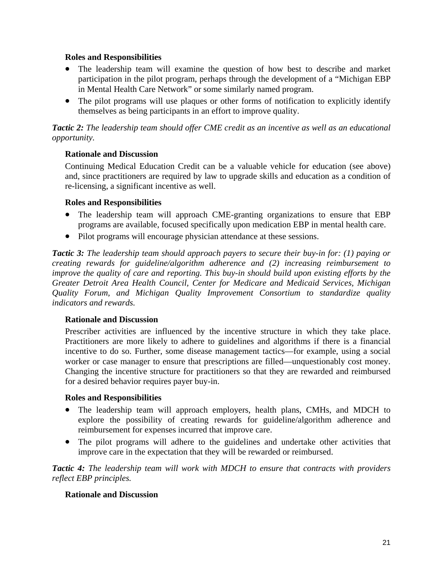#### **Roles and Responsibilities**

- The leadership team will examine the question of how best to describe and market participation in the pilot program, perhaps through the development of a "Michigan EBP in Mental Health Care Network" or some similarly named program.
- The pilot programs will use plaques or other forms of notification to explicitly identify themselves as being participants in an effort to improve quality.

*Tactic 2: The leadership team should offer CME credit as an incentive as well as an educational opportunity.*

#### **Rationale and Discussion**

Continuing Medical Education Credit can be a valuable vehicle for education (see above) and, since practitioners are required by law to upgrade skills and education as a condition of re-licensing, a significant incentive as well.

#### **Roles and Responsibilities**

- The leadership team will approach CME-granting organizations to ensure that EBP programs are available, focused specifically upon medication EBP in mental health care.
- Pilot programs will encourage physician attendance at these sessions.

*Tactic 3: The leadership team should approach payers to secure their buy-in for: (1) paying or creating rewards for guideline/algorithm adherence and (2) increasing reimbursement to improve the quality of care and reporting. This buy-in should build upon existing efforts by the Greater Detroit Area Health Council, Center for Medicare and Medicaid Services, Michigan Quality Forum, and Michigan Quality Improvement Consortium to standardize quality indicators and rewards.* 

#### **Rationale and Discussion**

Prescriber activities are influenced by the incentive structure in which they take place. Practitioners are more likely to adhere to guidelines and algorithms if there is a financial incentive to do so. Further, some disease management tactics—for example, using a social worker or case manager to ensure that prescriptions are filled—unquestionably cost money. Changing the incentive structure for practitioners so that they are rewarded and reimbursed for a desired behavior requires payer buy-in.

#### **Roles and Responsibilities**

- The leadership team will approach employers, health plans, CMHs, and MDCH to explore the possibility of creating rewards for guideline/algorithm adherence and reimbursement for expenses incurred that improve care.
- The pilot programs will adhere to the guidelines and undertake other activities that improve care in the expectation that they will be rewarded or reimbursed.

*Tactic 4: The leadership team will work with MDCH to ensure that contracts with providers reflect EBP principles.* 

#### **Rationale and Discussion**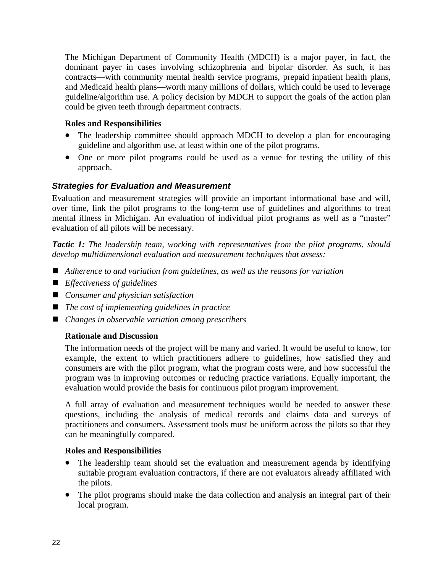The Michigan Department of Community Health (MDCH) is a major payer, in fact, the dominant payer in cases involving schizophrenia and bipolar disorder. As such, it has contracts—with community mental health service programs, prepaid inpatient health plans, and Medicaid health plans—worth many millions of dollars, which could be used to leverage guideline/algorithm use. A policy decision by MDCH to support the goals of the action plan could be given teeth through department contracts.

#### **Roles and Responsibilities**

- The leadership committee should approach MDCH to develop a plan for encouraging guideline and algorithm use, at least within one of the pilot programs.
- One or more pilot programs could be used as a venue for testing the utility of this approach.

#### *Strategies for Evaluation and Measurement*

Evaluation and measurement strategies will provide an important informational base and will, over time, link the pilot programs to the long-term use of guidelines and algorithms to treat mental illness in Michigan. An evaluation of individual pilot programs as well as a "master" evaluation of all pilots will be necessary.

*Tactic 1: The leadership team, working with representatives from the pilot programs, should develop multidimensional evaluation and measurement techniques that assess:* 

- Adherence to and variation from guidelines, as well as the reasons for variation
- *Effectiveness of guidelines*
- *Consumer and physician satisfaction*
- *The cost of implementing guidelines in practice*
- *Changes in observable variation among prescribers*

#### **Rationale and Discussion**

The information needs of the project will be many and varied. It would be useful to know, for example, the extent to which practitioners adhere to guidelines, how satisfied they and consumers are with the pilot program, what the program costs were, and how successful the program was in improving outcomes or reducing practice variations. Equally important, the evaluation would provide the basis for continuous pilot program improvement.

A full array of evaluation and measurement techniques would be needed to answer these questions, including the analysis of medical records and claims data and surveys of practitioners and consumers. Assessment tools must be uniform across the pilots so that they can be meaningfully compared.

#### **Roles and Responsibilities**

- The leadership team should set the evaluation and measurement agenda by identifying suitable program evaluation contractors, if there are not evaluators already affiliated with the pilots.
- The pilot programs should make the data collection and analysis an integral part of their local program.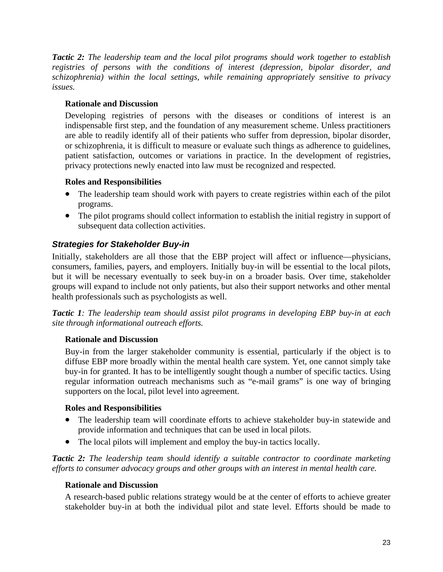*Tactic 2: The leadership team and the local pilot programs should work together to establish registries of persons with the conditions of interest (depression, bipolar disorder, and schizophrenia) within the local settings, while remaining appropriately sensitive to privacy issues.* 

#### **Rationale and Discussion**

Developing registries of persons with the diseases or conditions of interest is an indispensable first step, and the foundation of any measurement scheme. Unless practitioners are able to readily identify all of their patients who suffer from depression, bipolar disorder, or schizophrenia, it is difficult to measure or evaluate such things as adherence to guidelines, patient satisfaction, outcomes or variations in practice. In the development of registries, privacy protections newly enacted into law must be recognized and respected.

#### **Roles and Responsibilities**

- The leadership team should work with payers to create registries within each of the pilot programs.
- The pilot programs should collect information to establish the initial registry in support of subsequent data collection activities.

## *Strategies for Stakeholder Buy-in*

Initially, stakeholders are all those that the EBP project will affect or influence—physicians, consumers, families, payers, and employers. Initially buy-in will be essential to the local pilots, but it will be necessary eventually to seek buy-in on a broader basis. Over time, stakeholder groups will expand to include not only patients, but also their support networks and other mental health professionals such as psychologists as well.

*Tactic 1: The leadership team should assist pilot programs in developing EBP buy-in at each site through informational outreach efforts.* 

#### **Rationale and Discussion**

Buy-in from the larger stakeholder community is essential, particularly if the object is to diffuse EBP more broadly within the mental health care system. Yet, one cannot simply take buy-in for granted. It has to be intelligently sought though a number of specific tactics. Using regular information outreach mechanisms such as "e-mail grams" is one way of bringing supporters on the local, pilot level into agreement.

#### **Roles and Responsibilities**

- The leadership team will coordinate efforts to achieve stakeholder buy-in statewide and provide information and techniques that can be used in local pilots.
- The local pilots will implement and employ the buy-in tactics locally.

*Tactic 2: The leadership team should identify a suitable contractor to coordinate marketing efforts to consumer advocacy groups and other groups with an interest in mental health care.* 

#### **Rationale and Discussion**

A research-based public relations strategy would be at the center of efforts to achieve greater stakeholder buy-in at both the individual pilot and state level. Efforts should be made to